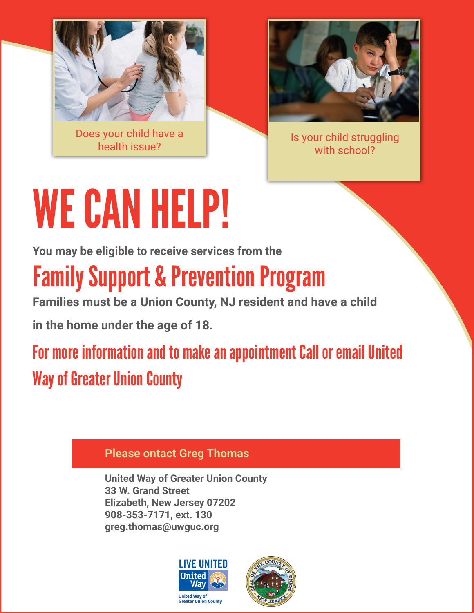

Does your child have a



s your child have a series of the series of the series of the series of the series of the series of the series<br>Thealth issue? with school?

# WE CAN HELP!

**You may be eligible to receive services from the**

## Family Support & Prevention Program

**Families must be a Union County, NJ resident and have a child**

**in the home under the age of 18.**

For more information and to make an appointment Call or email United Way of Greater Union County

### **Please ontact Greg Thomas**

**United Way of Greater Union County 33 W. Grand Street Elizabeth, New Jersey 07202 908-353-7171, ext. 130 greg.thomas@uwguc.org**